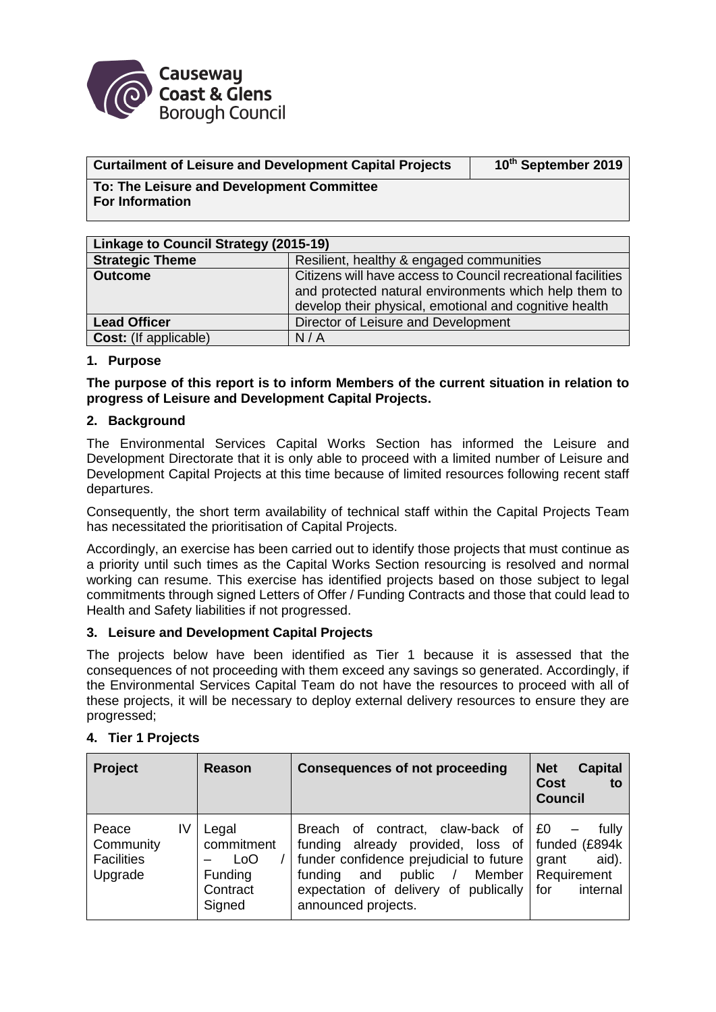

### **Curtailment of Leisure and Development Capital Projects 10**

**th September 2019**

**To: The Leisure and Development Committee For Information**

| Linkage to Council Strategy (2015-19) |                                                                                                                                                                                 |  |  |
|---------------------------------------|---------------------------------------------------------------------------------------------------------------------------------------------------------------------------------|--|--|
| <b>Strategic Theme</b>                | Resilient, healthy & engaged communities                                                                                                                                        |  |  |
| <b>Outcome</b>                        | Citizens will have access to Council recreational facilities<br>and protected natural environments which help them to<br>develop their physical, emotional and cognitive health |  |  |
| <b>Lead Officer</b>                   | Director of Leisure and Development                                                                                                                                             |  |  |
| <b>Cost:</b> (If applicable)          | N/A                                                                                                                                                                             |  |  |

### **1. Purpose**

**The purpose of this report is to inform Members of the current situation in relation to progress of Leisure and Development Capital Projects.**

### **2. Background**

The Environmental Services Capital Works Section has informed the Leisure and Development Directorate that it is only able to proceed with a limited number of Leisure and Development Capital Projects at this time because of limited resources following recent staff departures.

Consequently, the short term availability of technical staff within the Capital Projects Team has necessitated the prioritisation of Capital Projects.

Accordingly, an exercise has been carried out to identify those projects that must continue as a priority until such times as the Capital Works Section resourcing is resolved and normal working can resume. This exercise has identified projects based on those subject to legal commitments through signed Letters of Offer / Funding Contracts and those that could lead to Health and Safety liabilities if not progressed.

### **3. Leisure and Development Capital Projects**

The projects below have been identified as Tier 1 because it is assessed that the consequences of not proceeding with them exceed any savings so generated. Accordingly, if the Environmental Services Capital Team do not have the resources to proceed with all of these projects, it will be necessary to deploy external delivery resources to ensure they are progressed;

# **4. Tier 1 Projects**

| <b>Project</b>                                    | Reason                                                      | <b>Consequences of not proceeding</b>                                                                                                                                                                                                          | <b>Net</b><br><b>Capital</b><br><b>Cost</b><br>to<br><b>Council</b> |
|---------------------------------------------------|-------------------------------------------------------------|------------------------------------------------------------------------------------------------------------------------------------------------------------------------------------------------------------------------------------------------|---------------------------------------------------------------------|
| IV<br>Peace<br>Community<br>Facilities<br>Upgrade | Legal<br>commitment<br>LoO<br>Funding<br>Contract<br>Signed | Breach of contract, claw-back of EQ<br>already provided, loss of funded (£894k<br>funding<br>funder confidence prejudicial to future<br>Member  <br>funding<br>and<br>public /<br>expectation of delivery of publically<br>announced projects. | fully<br>aid).<br>grant<br>Requirement<br>∣ for<br>internal         |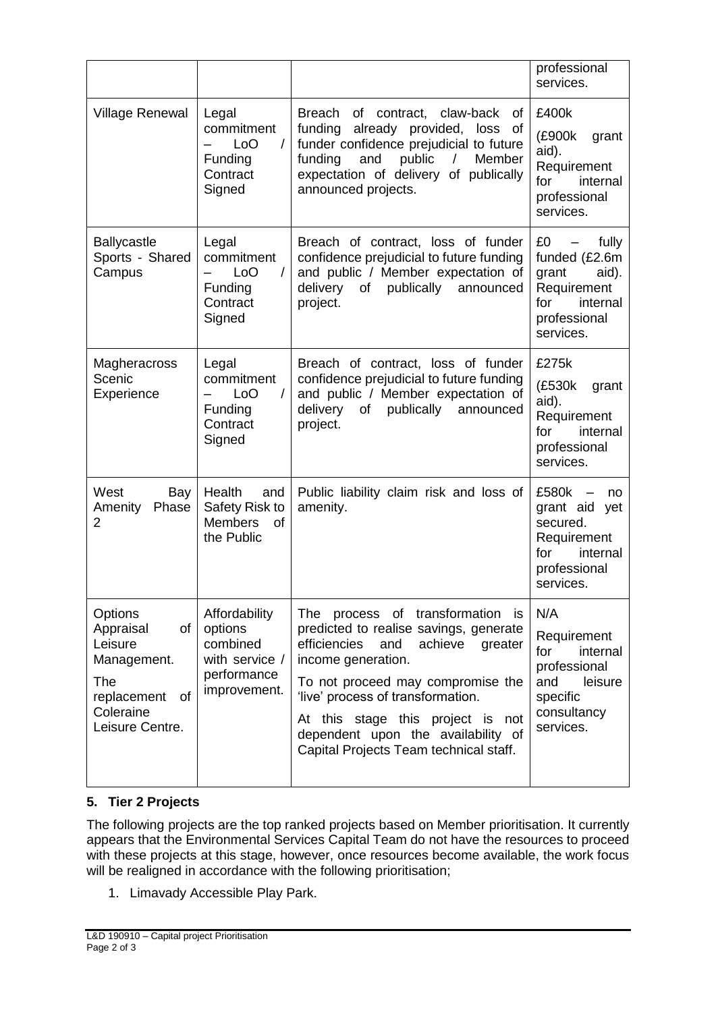|                                                                                                                         |                                                                                       |                                                                                                                                                                                                                                                                                                                                                  | professional<br>services.                                                                                       |
|-------------------------------------------------------------------------------------------------------------------------|---------------------------------------------------------------------------------------|--------------------------------------------------------------------------------------------------------------------------------------------------------------------------------------------------------------------------------------------------------------------------------------------------------------------------------------------------|-----------------------------------------------------------------------------------------------------------------|
| <b>Village Renewal</b>                                                                                                  | Legal<br>commitment<br>LoO<br>$\sqrt{2}$<br>Funding<br>Contract<br>Signed             | Breach of contract,<br>claw-back of<br>already provided, loss<br>funding<br>of<br>funder confidence prejudicial to future<br>funding<br>and<br>public<br>$\prime$<br>Member<br>expectation of delivery of publically<br>announced projects.                                                                                                      | £400k<br>(£900k<br>grant<br>aid).<br>Requirement<br>internal<br>for<br>professional<br>services.                |
| <b>Ballycastle</b><br>Sports - Shared<br>Campus                                                                         | Legal<br>commitment<br>LoO<br>$\sqrt{2}$<br>Funding<br>Contract<br>Signed             | Breach of contract, loss of funder<br>confidence prejudicial to future funding<br>and public / Member expectation of<br>delivery<br>of<br>publically<br>announced<br>project.                                                                                                                                                                    | £0<br>fully<br>funded (£2.6m<br>aid).<br>grant<br>Requirement<br>internal<br>for<br>professional<br>services.   |
| Magheracross<br>Scenic<br>Experience                                                                                    | Legal<br>commitment<br>$\prime$<br>L <sub>o</sub> O<br>Funding<br>Contract<br>Signed  | Breach of contract, loss of funder<br>confidence prejudicial to future funding<br>and public / Member expectation of<br>delivery<br>of publically announced<br>project.                                                                                                                                                                          | £275k<br>(£530k<br>grant<br>aid).<br>Requirement<br>for<br>internal<br>professional<br>services.                |
| West<br>Bay<br>Amenity<br>Phase<br>$\overline{2}$                                                                       | Health<br>and<br>Safety Risk to<br><b>Members</b><br><b>of</b><br>the Public          | Public liability claim risk and loss of<br>amenity.                                                                                                                                                                                                                                                                                              | £580k<br>no<br>grant aid<br>yet<br>secured.<br>Requirement<br>for<br>internal<br>professional<br>services.      |
| Options<br>Appraisal<br>of<br>Leisure<br>Management.<br><b>The</b><br>replacement<br>of<br>Coleraine<br>Leisure Centre. | Affordability<br>options<br>combined<br>with service /<br>performance<br>improvement. | The process of transformation<br>is.<br>predicted to realise savings, generate<br>efficiencies<br>achieve<br>and<br>greater<br>income generation.<br>To not proceed may compromise the<br>'live' process of transformation.<br>At this stage this project is not<br>dependent upon the availability of<br>Capital Projects Team technical staff. | N/A<br>Requirement<br>for<br>internal<br>professional<br>and<br>leisure<br>specific<br>consultancy<br>services. |

## **5. Tier 2 Projects**

The following projects are the top ranked projects based on Member prioritisation. It currently appears that the Environmental Services Capital Team do not have the resources to proceed with these projects at this stage, however, once resources become available, the work focus will be realigned in accordance with the following prioritisation;

1. Limavady Accessible Play Park.